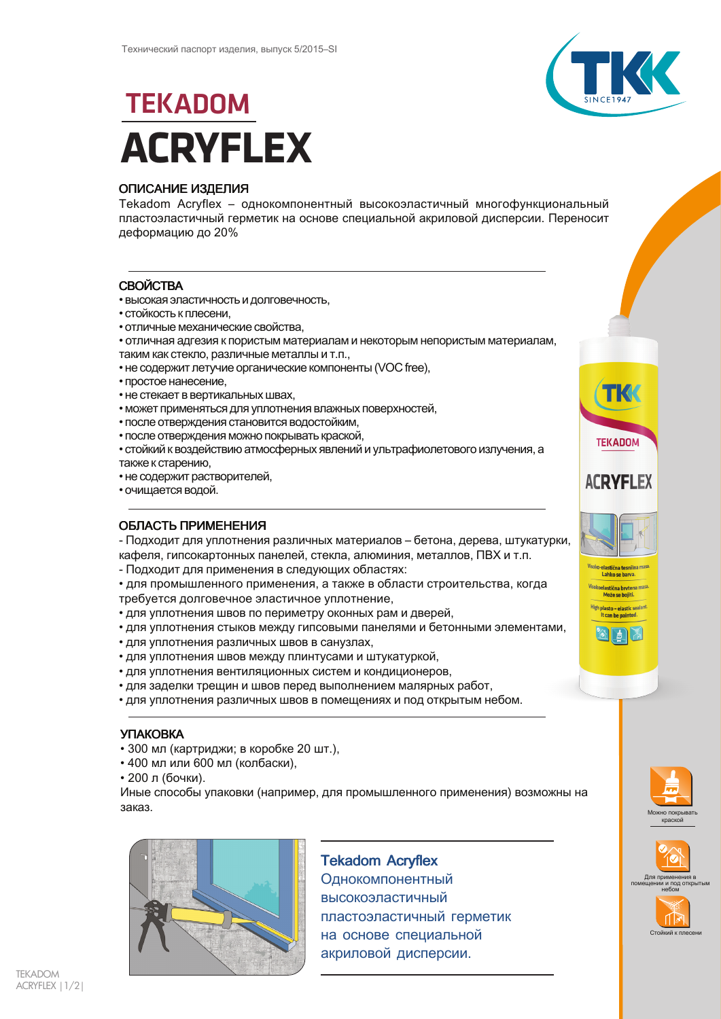

TKK

**TEKADOM** 

**ACRYFLEX** 

el<mark>astična tes</mark>nilna<br>Lahko se barva.

Visokoelastična brytena masi<br>Može se bojiti.

pl<mark>asto – elasti</mark>c sealar<br>It can be painted.

# **TEKADOM ACRYFLEX**

## **ОПИСАНИЕ ИЗДЕЛИЯ**

Tekadom Acryflex - однокомпонентный высокоэластичный многофункциональный пластоэластичный герметик на основе специальной акриловой дисперсии. Переносит деформацию до 20%

# **СВОЙСТВА**

- высокая эластичность и долговечность,
- стойкость к плесени.
- отличные механические свойства.
- отличная адгезия к пористым материалам и некоторым непористым материалам.
- таким как стекло, различные металлы и т.п.,
- не содержит летучие органические компоненты (VOC free),
- простое нанесение,
- не стекает в вертикальных швах,
- может применяться для уплотнения влажных поверхностей,
- после отверждения становится водостойким,
- после отверждения можно покрывать краской,
- стойкий к воздействию атмосферных явлений и ультрафиолетового излучения, а также к старению,
- не содержит растворителей,
- очищается водой.

## ОБЛАСТЬ ПРИМЕНЕНИЯ

- Подходит для уплотнения различных материалов - бетона, дерева, штукатурки, кафеля, гипсокартонных панелей, стекла, алюминия, металлов, ПВХ и т.п.

- Подходит для применения в следующих областях:

• для промышленного применения, а также в области строительства, когда требуется долговечное эластичное уплотнение,

- для уплотнения швов по периметру оконных рам и дверей,
- для уплотнения стыков между гипсовыми панелями и бетонными элементами,
- для уплотнения различных швов в санузлах,
- для уплотнения швов между плинтусами и штукатуркой,
- ДЛЯ УПЛОТНЕНИЯ ВЕНТИЛЯЦИОННЫХ СИСТЕМ И КОНДИЦИОНЕРОВ.
- для заделки трещин и швов перед выполнением малярных работ,
- для уплотнения различных швов в помещениях и под открытым небом.

## **УПАКОВКА**

- 300 мл (картриджи; в коробке 20 шт.),
- 400 мл или 600 мл (колбаски),
- 200 л (бочки).

Иные способы упаковки (например, для промышленного применения) возможны на заказ



# **Tekadom Acryflex**

Однокомпонентный высокоэластичный пластоэластичный герметик на основе специальной акриловой дисперсии.